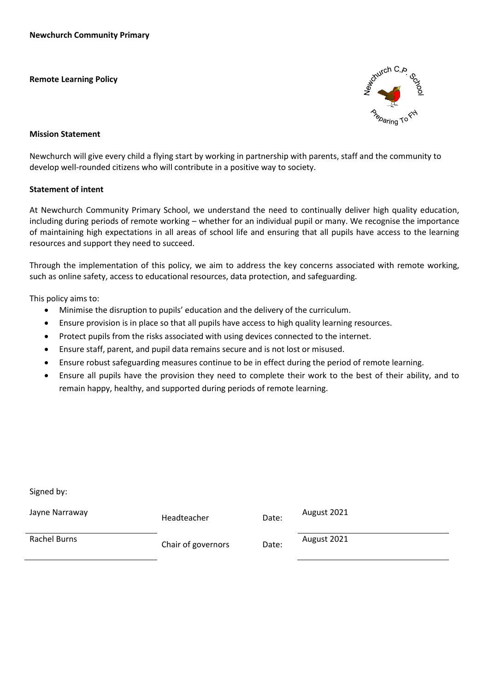**Remote Learning Policy**



#### **Mission Statement**

Newchurch will give every child a flying start by working in partnership with parents, staff and the community to develop well-rounded citizens who will contribute in a positive way to society.

#### **Statement of intent**

At Newchurch Community Primary School, we understand the need to continually deliver high quality education, including during periods of remote working – whether for an individual pupil or many. We recognise the importance of maintaining high expectations in all areas of school life and ensuring that all pupils have access to the learning resources and support they need to succeed.

Through the implementation of this policy, we aim to address the key concerns associated with remote working, such as online safety, access to educational resources, data protection, and safeguarding.

This policy aims to:

Signed by:

- Minimise the disruption to pupils' education and the delivery of the curriculum.
- Ensure provision is in place so that all pupils have access to high quality learning resources.
- Protect pupils from the risks associated with using devices connected to the internet.
- Ensure staff, parent, and pupil data remains secure and is not lost or misused.
- Ensure robust safeguarding measures continue to be in effect during the period of remote learning.
- Ensure all pupils have the provision they need to complete their work to the best of their ability, and to remain happy, healthy, and supported during periods of remote learning.

| Jayne Narraway | Headteacher        | Date: | August 2021 |
|----------------|--------------------|-------|-------------|
| Rachel Burns   | Chair of governors | Date: | August 2021 |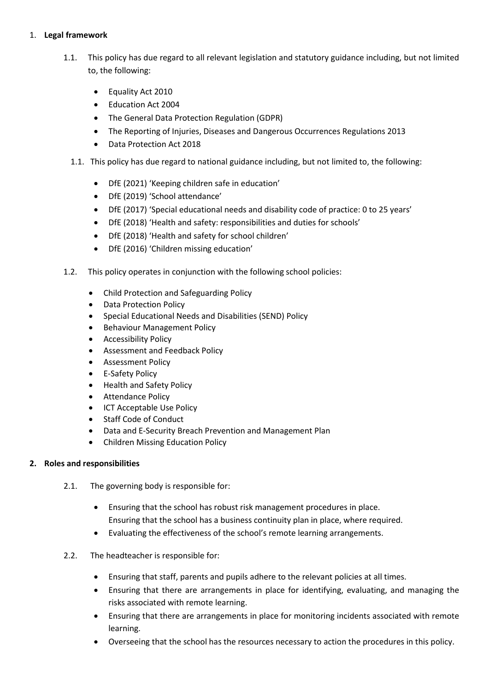## 1. **Legal framework**

- 1.1. This policy has due regard to all relevant legislation and statutory guidance including, but not limited to, the following:
	- Equality Act 2010
	- Education Act 2004
	- The General Data Protection Regulation (GDPR)
	- The Reporting of Injuries, Diseases and Dangerous Occurrences Regulations 2013
	- Data Protection Act 2018
	- 1.1. This policy has due regard to national guidance including, but not limited to, the following:
		- DfE (2021) 'Keeping children safe in education'
		- DfE (2019) 'School attendance'
		- DfE (2017) 'Special educational needs and disability code of practice: 0 to 25 years'
		- DfE (2018) 'Health and safety: responsibilities and duties for schools'
		- DfE (2018) 'Health and safety for school children'
		- DfE (2016) 'Children missing education'
- 1.2. This policy operates in conjunction with the following school policies:
	- Child Protection and Safeguarding Policy
	- Data Protection Policy
	- Special Educational Needs and Disabilities (SEND) Policy
	- Behaviour Management Policy
	- **•** Accessibility Policy
	- Assessment and Feedback Policy
	- Assessment Policy
	- E-Safety Policy
	- Health and Safety Policy
	- Attendance Policy
	- ICT Acceptable Use Policy
	- Staff Code of Conduct
	- Data and E-Security Breach Prevention and Management Plan
	- Children Missing Education Policy

## **2. Roles and responsibilities**

- 2.1. The governing body is responsible for:
	- Ensuring that the school has robust risk management procedures in place. Ensuring that the school has a business continuity plan in place, where required.
	- Evaluating the effectiveness of the school's remote learning arrangements.
- 2.2. The headteacher is responsible for:
	- Ensuring that staff, parents and pupils adhere to the relevant policies at all times.
	- Ensuring that there are arrangements in place for identifying, evaluating, and managing the risks associated with remote learning.
	- Ensuring that there are arrangements in place for monitoring incidents associated with remote learning.
	- Overseeing that the school has the resources necessary to action the procedures in this policy.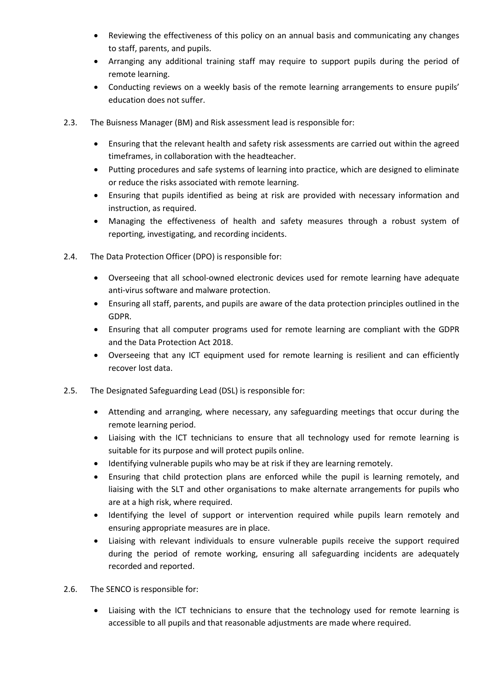- Reviewing the effectiveness of this policy on an annual basis and communicating any changes to staff, parents, and pupils.
- Arranging any additional training staff may require to support pupils during the period of remote learning.
- Conducting reviews on a weekly basis of the remote learning arrangements to ensure pupils' education does not suffer.
- 2.3. The Buisness Manager (BM) and Risk assessment lead is responsible for:
	- Ensuring that the relevant health and safety risk assessments are carried out within the agreed timeframes, in collaboration with the headteacher.
	- Putting procedures and safe systems of learning into practice, which are designed to eliminate or reduce the risks associated with remote learning.
	- Ensuring that pupils identified as being at risk are provided with necessary information and instruction, as required.
	- Managing the effectiveness of health and safety measures through a robust system of reporting, investigating, and recording incidents.
- 2.4. The Data Protection Officer (DPO) is responsible for:
	- Overseeing that all school-owned electronic devices used for remote learning have adequate anti-virus software and malware protection.
	- Ensuring all staff, parents, and pupils are aware of the data protection principles outlined in the GDPR.
	- Ensuring that all computer programs used for remote learning are compliant with the GDPR and the Data Protection Act 2018.
	- Overseeing that any ICT equipment used for remote learning is resilient and can efficiently recover lost data.
- 2.5. The Designated Safeguarding Lead (DSL) is responsible for:
	- Attending and arranging, where necessary, any safeguarding meetings that occur during the remote learning period.
	- Liaising with the ICT technicians to ensure that all technology used for remote learning is suitable for its purpose and will protect pupils online.
	- Identifying vulnerable pupils who may be at risk if they are learning remotely.
	- Ensuring that child protection plans are enforced while the pupil is learning remotely, and liaising with the SLT and other organisations to make alternate arrangements for pupils who are at a high risk, where required.
	- Identifying the level of support or intervention required while pupils learn remotely and ensuring appropriate measures are in place.
	- Liaising with relevant individuals to ensure vulnerable pupils receive the support required during the period of remote working, ensuring all safeguarding incidents are adequately recorded and reported.
- 2.6. The SENCO is responsible for:
	- Liaising with the ICT technicians to ensure that the technology used for remote learning is accessible to all pupils and that reasonable adjustments are made where required.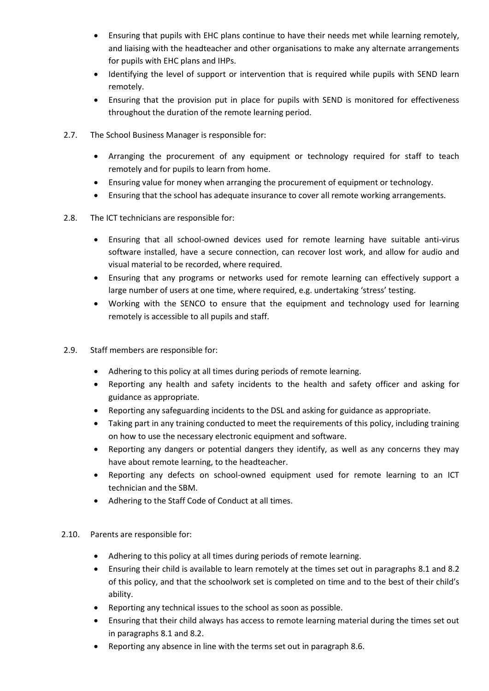- Ensuring that pupils with EHC plans continue to have their needs met while learning remotely, and liaising with the headteacher and other organisations to make any alternate arrangements for pupils with EHC plans and IHPs.
- Identifying the level of support or intervention that is required while pupils with SEND learn remotely.
- Ensuring that the provision put in place for pupils with SEND is monitored for effectiveness throughout the duration of the remote learning period.
- 2.7. The School Business Manager is responsible for:
	- Arranging the procurement of any equipment or technology required for staff to teach remotely and for pupils to learn from home.
	- Ensuring value for money when arranging the procurement of equipment or technology.
	- Ensuring that the school has adequate insurance to cover all remote working arrangements.
- 2.8. The ICT technicians are responsible for:
	- Ensuring that all school-owned devices used for remote learning have suitable anti-virus software installed, have a secure connection, can recover lost work, and allow for audio and visual material to be recorded, where required.
	- Ensuring that any programs or networks used for remote learning can effectively support a large number of users at one time, where required, e.g. undertaking 'stress' testing.
	- Working with the SENCO to ensure that the equipment and technology used for learning remotely is accessible to all pupils and staff.
- 2.9. Staff members are responsible for:
	- Adhering to this policy at all times during periods of remote learning.
	- Reporting any health and safety incidents to the health and safety officer and asking for guidance as appropriate.
	- Reporting any safeguarding incidents to the DSL and asking for guidance as appropriate.
	- Taking part in any training conducted to meet the requirements of this policy, including training on how to use the necessary electronic equipment and software.
	- Reporting any dangers or potential dangers they identify, as well as any concerns they may have about remote learning, to the headteacher.
	- Reporting any defects on school-owned equipment used for remote learning to an ICT technician and the SBM.
	- Adhering to the Staff Code of Conduct at all times.
- 2.10. Parents are responsible for:
	- Adhering to this policy at all times during periods of remote learning.
	- Ensuring their child is available to learn remotely at the times set out in paragraphs [8.1](file:///G:/My%20Drive/Jayne/Policies/Health%20and%20safety%20policy/Policies%202020/Remote%20Learning%20Policy%20September%202021.doc%23Arrival) and [8.2](file:///G:/My%20Drive/Jayne/Policies/Health%20and%20safety%20policy/Policies%202020/Remote%20Learning%20Policy%20September%202021.doc%23Breaks) of this policy, and that the schoolwork set is completed on time and to the best of their child's ability.
	- Reporting any technical issues to the school as soon as possible.
	- Ensuring that their child always has access to remote learning material during the times set out in paragraph[s 8.1](file:///G:/My%20Drive/Jayne/Policies/Health%20and%20safety%20policy/Policies%202020/Remote%20Learning%20Policy%20September%202021.doc%23Arrival) an[d 8.2.](file:///G:/My%20Drive/Jayne/Policies/Health%20and%20safety%20policy/Policies%202020/Remote%20Learning%20Policy%20September%202021.doc%23Breaks)
	- Reporting any absence in line with the terms set out in paragraph 8.6.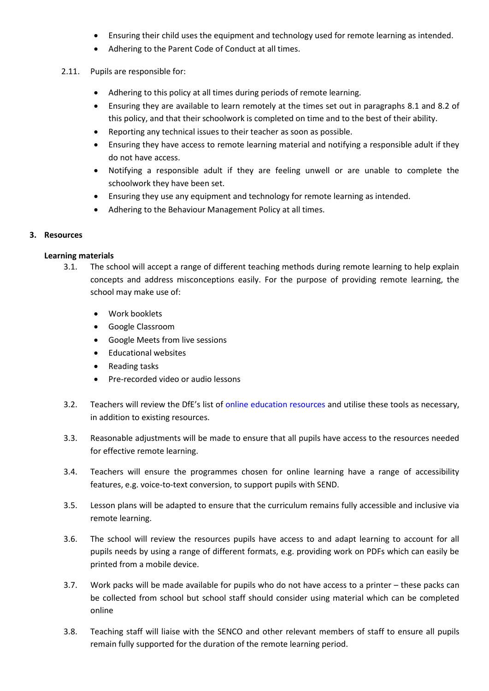- Ensuring their child uses the equipment and technology used for remote learning as intended.
- Adhering to the Parent Code of Conduct at all times.
- 2.11. Pupils are responsible for:
	- Adhering to this policy at all times during periods of remote learning.
	- Ensuring they are available to learn remotely at the times set out in paragraphs 8.1 and 8.2 of this policy, and that their schoolwork is completed on time and to the best of their ability.
	- Reporting any technical issues to their teacher as soon as possible.
	- Ensuring they have access to remote learning material and notifying a responsible adult if they do not have access.
	- Notifying a responsible adult if they are feeling unwell or are unable to complete the schoolwork they have been set.
	- Ensuring they use any equipment and technology for remote learning as intended.
	- Adhering to the Behaviour Management Policy at all times.

### **3. Resources**

### **Learning materials**

- 3.1. The school will accept a range of different teaching methods during remote learning to help explain concepts and address misconceptions easily. For the purpose of providing remote learning, the school may make use of:
	- Work booklets
	- Google Classroom
	- Google Meets from live sessions
	- Educational websites
	- Reading tasks
	- Pre-recorded video or audio lessons
- 3.2. Teachers will review the DfE's list of [online education resources](https://www.gov.uk/government/publications/coronavirus-covid-19-online-education-resources) and utilise these tools as necessary, in addition to existing resources.
- 3.3. Reasonable adjustments will be made to ensure that all pupils have access to the resources needed for effective remote learning.
- 3.4. Teachers will ensure the programmes chosen for online learning have a range of accessibility features, e.g. voice-to-text conversion, to support pupils with SEND.
- 3.5. Lesson plans will be adapted to ensure that the curriculum remains fully accessible and inclusive via remote learning.
- 3.6. The school will review the resources pupils have access to and adapt learning to account for all pupils needs by using a range of different formats, e.g. providing work on PDFs which can easily be printed from a mobile device.
- 3.7. Work packs will be made available for pupils who do not have access to a printer these packs can be collected from school but school staff should consider using material which can be completed online
- 3.8. Teaching staff will liaise with the SENCO and other relevant members of staff to ensure all pupils remain fully supported for the duration of the remote learning period.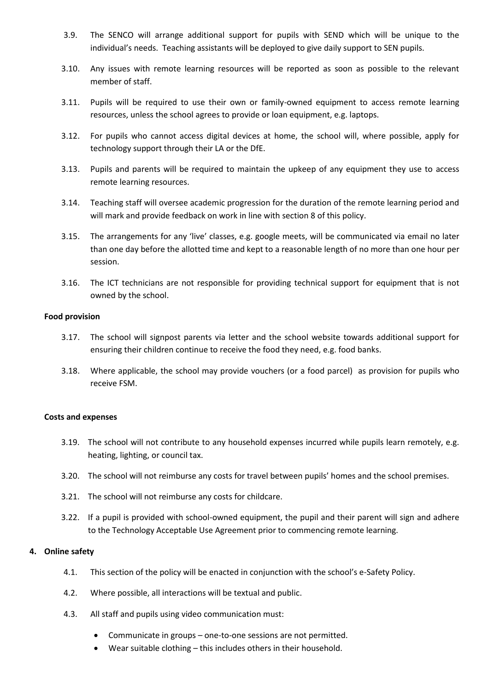- 3.9. The SENCO will arrange additional support for pupils with SEND which will be unique to the individual's needs. Teaching assistants will be deployed to give daily support to SEN pupils.
- 3.10. Any issues with remote learning resources will be reported as soon as possible to the relevant member of staff.
- 3.11. Pupils will be required to use their own or family-owned equipment to access remote learning resources, unless the school agrees to provide or loan equipment, e.g. laptops.
- 3.12. For pupils who cannot access digital devices at home, the school will, where possible, apply for technology support through their LA or the DfE.
- 3.13. Pupils and parents will be required to maintain the upkeep of any equipment they use to access remote learning resources.
- 3.14. Teaching staff will oversee academic progression for the duration of the remote learning period and will mark and provide feedback on work in line with section 8 of this policy.
- 3.15. The arrangements for any 'live' classes, e.g. google meets, will be communicated via email no later than one day before the allotted time and kept to a reasonable length of no more than one hour per session.
- 3.16. The ICT technicians are not responsible for providing technical support for equipment that is not owned by the school.

#### **Food provision**

- 3.17. The school will signpost parents via letter and the school website towards additional support for ensuring their children continue to receive the food they need, e.g. food banks.
- 3.18. Where applicable, the school may provide vouchers (or a food parcel) as provision for pupils who receive FSM.

#### **Costs and expenses**

- 3.19. The school will not contribute to any household expenses incurred while pupils learn remotely, e.g. heating, lighting, or council tax.
- 3.20. The school will not reimburse any costs for travel between pupils' homes and the school premises.
- 3.21. The school will not reimburse any costs for childcare.
- 3.22. If a pupil is provided with school-owned equipment, the pupil and their parent will sign and adhere to the Technology Acceptable Use Agreement prior to commencing remote learning.

### **4. Online safety**

- 4.1. This section of the policy will be enacted in conjunction with the school's e-Safety Policy.
- 4.2. Where possible, all interactions will be textual and public.
- 4.3. All staff and pupils using video communication must:
	- Communicate in groups one-to-one sessions are not permitted.
	- Wear suitable clothing this includes others in their household.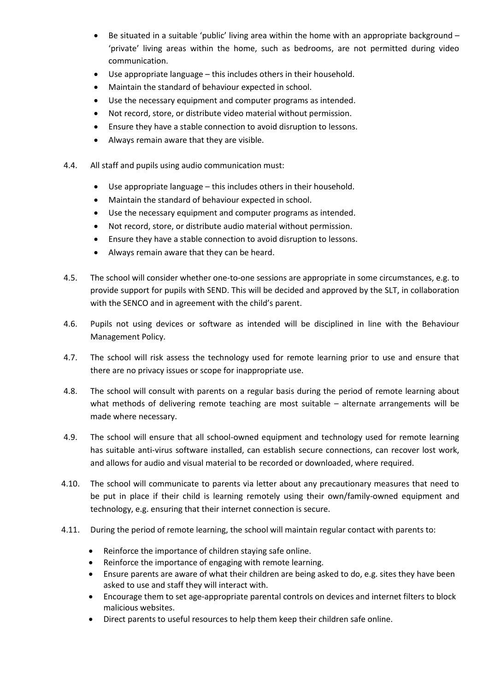- Be situated in a suitable 'public' living area within the home with an appropriate background 'private' living areas within the home, such as bedrooms, are not permitted during video communication.
- Use appropriate language this includes others in their household.
- Maintain the standard of behaviour expected in school.
- Use the necessary equipment and computer programs as intended.
- Not record, store, or distribute video material without permission.
- Ensure they have a stable connection to avoid disruption to lessons.
- Always remain aware that they are visible.
- 4.4. All staff and pupils using audio communication must:
	- Use appropriate language this includes others in their household.
	- Maintain the standard of behaviour expected in school.
	- Use the necessary equipment and computer programs as intended.
	- Not record, store, or distribute audio material without permission.
	- Ensure they have a stable connection to avoid disruption to lessons.
	- Always remain aware that they can be heard.
- 4.5. The school will consider whether one-to-one sessions are appropriate in some circumstances, e.g. to provide support for pupils with SEND. This will be decided and approved by the SLT, in collaboration with the SENCO and in agreement with the child's parent.
- 4.6. Pupils not using devices or software as intended will be disciplined in line with the Behaviour Management Policy.
- 4.7. The school will risk assess the technology used for remote learning prior to use and ensure that there are no privacy issues or scope for inappropriate use.
- 4.8. The school will consult with parents on a regular basis during the period of remote learning about what methods of delivering remote teaching are most suitable – alternate arrangements will be made where necessary.
- 4.9. The school will ensure that all school-owned equipment and technology used for remote learning has suitable anti-virus software installed, can establish secure connections, can recover lost work, and allows for audio and visual material to be recorded or downloaded, where required.
- 4.10. The school will communicate to parents via letter about any precautionary measures that need to be put in place if their child is learning remotely using their own/family-owned equipment and technology, e.g. ensuring that their internet connection is secure.
- 4.11. During the period of remote learning, the school will maintain regular contact with parents to:
	- Reinforce the importance of children staying safe online.
	- Reinforce the importance of engaging with remote learning.
	- Ensure parents are aware of what their children are being asked to do, e.g. sites they have been asked to use and staff they will interact with.
	- Encourage them to set age-appropriate parental controls on devices and internet filters to block malicious websites.
	- Direct parents to useful resources to help them keep their children safe online.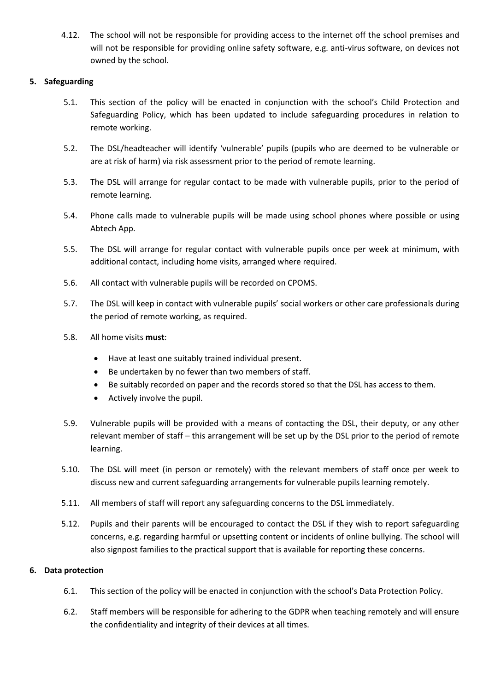4.12. The school will not be responsible for providing access to the internet off the school premises and will not be responsible for providing online safety software, e.g. anti-virus software, on devices not owned by the school.

## **5. Safeguarding**

- 5.1. This section of the policy will be enacted in conjunction with the school's Child Protection and Safeguarding Policy, which has been updated to include safeguarding procedures in relation to remote working.
- 5.2. The DSL/headteacher will identify 'vulnerable' pupils (pupils who are deemed to be vulnerable or are at risk of harm) via risk assessment prior to the period of remote learning.
- 5.3. The DSL will arrange for regular contact to be made with vulnerable pupils, prior to the period of remote learning.
- 5.4. Phone calls made to vulnerable pupils will be made using school phones where possible or using Abtech App.
- 5.5. The DSL will arrange for regular contact with vulnerable pupils once per week at minimum, with additional contact, including home visits, arranged where required.
- 5.6. All contact with vulnerable pupils will be recorded on CPOMS.
- 5.7. The DSL will keep in contact with vulnerable pupils' social workers or other care professionals during the period of remote working, as required.
- 5.8. All home visits **must**:
	- Have at least one suitably trained individual present.
	- Be undertaken by no fewer than two members of staff.
	- Be suitably recorded on paper and the records stored so that the DSL has access to them.
	- Actively involve the pupil.
- 5.9. Vulnerable pupils will be provided with a means of contacting the DSL, their deputy, or any other relevant member of staff – this arrangement will be set up by the DSL prior to the period of remote learning.
- 5.10. The DSL will meet (in person or remotely) with the relevant members of staff once per week to discuss new and current safeguarding arrangements for vulnerable pupils learning remotely.
- 5.11. All members of staff will report any safeguarding concerns to the DSL immediately.
- 5.12. Pupils and their parents will be encouraged to contact the DSL if they wish to report safeguarding concerns, e.g. regarding harmful or upsetting content or incidents of online bullying. The school will also signpost families to the practical support that is available for reporting these concerns.

#### **6. Data protection**

- 6.1. This section of the policy will be enacted in conjunction with the school's Data Protection Policy.
- 6.2. Staff members will be responsible for adhering to the GDPR when teaching remotely and will ensure the confidentiality and integrity of their devices at all times.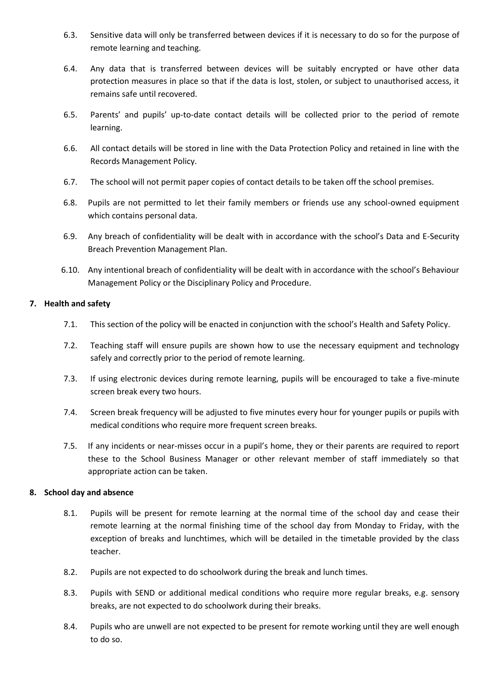- 6.3. Sensitive data will only be transferred between devices if it is necessary to do so for the purpose of remote learning and teaching.
- 6.4. Any data that is transferred between devices will be suitably encrypted or have other data protection measures in place so that if the data is lost, stolen, or subject to unauthorised access, it remains safe until recovered.
- 6.5. Parents' and pupils' up-to-date contact details will be collected prior to the period of remote learning.
- 6.6. All contact details will be stored in line with the Data Protection Policy and retained in line with the Records Management Policy.
- 6.7. The school will not permit paper copies of contact details to be taken off the school premises.
- 6.8. Pupils are not permitted to let their family members or friends use any school-owned equipment which contains personal data.
- 6.9. Any breach of confidentiality will be dealt with in accordance with the school's Data and E-Security Breach Prevention Management Plan.
- 6.10. Any intentional breach of confidentiality will be dealt with in accordance with the school's Behaviour Management Policy or the Disciplinary Policy and Procedure.

## **7. Health and safety**

- 7.1. This section of the policy will be enacted in conjunction with the school's Health and Safety Policy.
- 7.2. Teaching staff will ensure pupils are shown how to use the necessary equipment and technology safely and correctly prior to the period of remote learning.
- 7.3. If using electronic devices during remote learning, pupils will be encouraged to take a five-minute screen break every two hours.
- 7.4. Screen break frequency will be adjusted to five minutes every hour for younger pupils or pupils with medical conditions who require more frequent screen breaks.
- 7.5. If any incidents or near-misses occur in a pupil's home, they or their parents are required to report these to the School Business Manager or other relevant member of staff immediately so that appropriate action can be taken.

## **8. School day and absence**

- 8.1. Pupils will be present for remote learning at the normal time of the school day and cease their remote learning at the normal finishing time of the school day from Monday to Friday, with the exception of breaks and lunchtimes, which will be detailed in the timetable provided by the class teacher.
- 8.2. Pupils are not expected to do schoolwork during the break and lunch times.
- 8.3. Pupils with SEND or additional medical conditions who require more regular breaks, e.g. sensory breaks, are not expected to do schoolwork during their breaks.
- 8.4. Pupils who are unwell are not expected to be present for remote working until they are well enough to do so.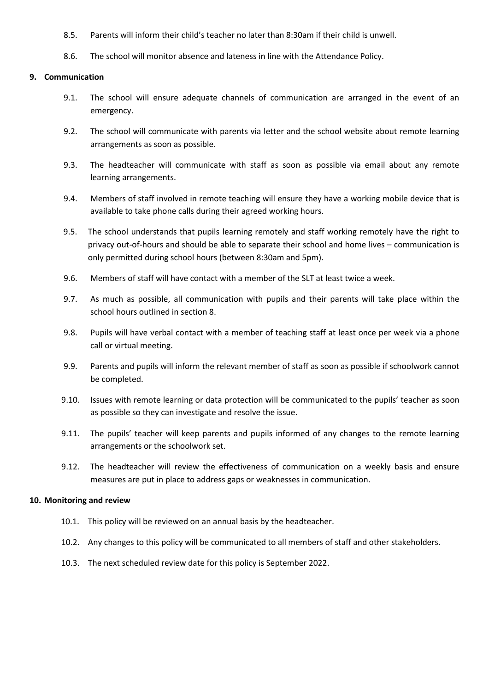- 8.5. Parents will inform their child's teacher no later than 8:30am if their child is unwell.
- 8.6. The school will monitor absence and lateness in line with the Attendance Policy.

### **9. Communication**

- 9.1. The school will ensure adequate channels of communication are arranged in the event of an emergency.
- 9.2. The school will communicate with parents via letter and the school website about remote learning arrangements as soon as possible.
- 9.3. The headteacher will communicate with staff as soon as possible via email about any remote learning arrangements.
- 9.4. Members of staff involved in remote teaching will ensure they have a working mobile device that is available to take phone calls during their agreed working hours.
- 9.5. The school understands that pupils learning remotely and staff working remotely have the right to privacy out-of-hours and should be able to separate their school and home lives – communication is only permitted during school hours (between 8:30am and 5pm).
- 9.6. Members of staff will have contact with a member of the SLT at least twice a week.
- 9.7. As much as possible, all communication with pupils and their parents will take place within the school hours outlined in section 8.
- 9.8. Pupils will have verbal contact with a member of teaching staff at least once per week via a phone call or virtual meeting.
- 9.9. Parents and pupils will inform the relevant member of staff as soon as possible if schoolwork cannot be completed.
- 9.10. Issues with remote learning or data protection will be communicated to the pupils' teacher as soon as possible so they can investigate and resolve the issue.
- 9.11. The pupils' teacher will keep parents and pupils informed of any changes to the remote learning arrangements or the schoolwork set.
- 9.12. The headteacher will review the effectiveness of communication on a weekly basis and ensure measures are put in place to address gaps or weaknesses in communication.

#### **10. Monitoring and review**

- 10.1. This policy will be reviewed on an annual basis by the headteacher.
- 10.2. Any changes to this policy will be communicated to all members of staff and other stakeholders.
- 10.3. The next scheduled review date for this policy is September 2022.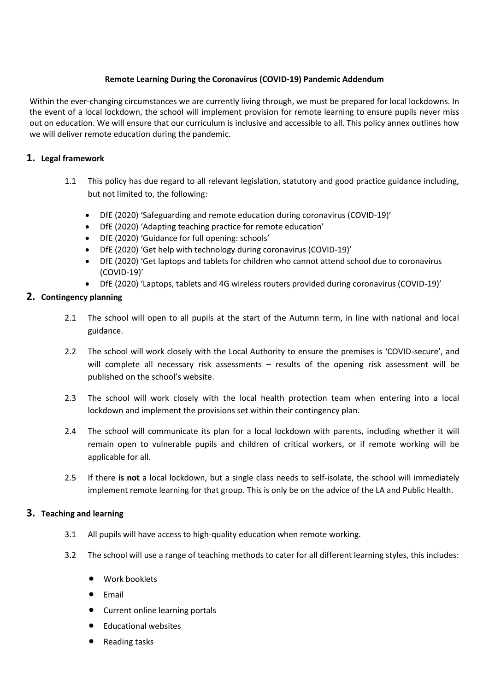## **Remote Learning During the Coronavirus (COVID-19) Pandemic Addendum**

Within the ever-changing circumstances we are currently living through, we must be prepared for local lockdowns. In the event of a local lockdown, the school will implement provision for remote learning to ensure pupils never miss out on education. We will ensure that our curriculum is inclusive and accessible to all. This policy annex outlines how we will deliver remote education during the pandemic.

# **1. Legal framework**

- 1.1 This policy has due regard to all relevant legislation, statutory and good practice guidance including, but not limited to, the following:
	- DfE (2020) 'Safeguarding and remote education during coronavirus (COVID-19)'
	- DfE (2020) 'Adapting teaching practice for remote education'
	- DfE (2020) 'Guidance for full opening: schools'
	- DfE (2020) 'Get help with technology during coronavirus (COVID-19)'
	- DfE (2020) 'Get laptops and tablets for children who cannot attend school due to coronavirus (COVID-19)'
	- DfE (2020) 'Laptops, tablets and 4G wireless routers provided during coronavirus (COVID-19)'

# **2. Contingency planning**

- 2.1 The school will open to all pupils at the start of the Autumn term, in line with national and local guidance.
- 2.2 The school will work closely with the Local Authority to ensure the premises is 'COVID-secure', and will complete all necessary risk assessments - results of the opening risk assessment will be published on the school's website.
- 2.3 The school will work closely with the local health protection team when entering into a local lockdown and implement the provisions set within their contingency plan.
- 2.4 The school will communicate its plan for a local lockdown with parents, including whether it will remain open to vulnerable pupils and children of critical workers, or if remote working will be applicable for all.
- 2.5 If there **is not** a local lockdown, but a single class needs to self-isolate, the school will immediately implement remote learning for that group. This is only be on the advice of the LA and Public Health.

## **3. Teaching and learning**

- 3.1 All pupils will have access to high-quality education when remote working.
- 3.2 The school will use a range of teaching methods to cater for all different learning styles, this includes:
	- Work booklets
	- $•$  Email
	- Current online learning portals
	- Educational websites
	- Reading tasks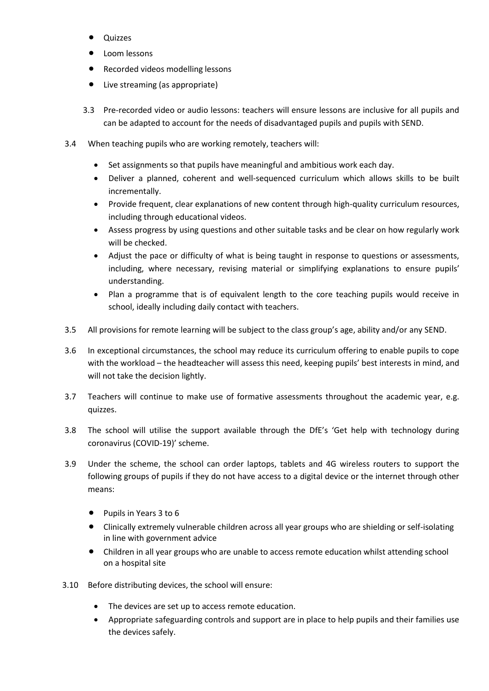- Quizzes
- Loom lessons
- Recorded videos modelling lessons
- Live streaming (as appropriate)
- 3.3 Pre-recorded video or audio lessons: teachers will ensure lessons are inclusive for all pupils and can be adapted to account for the needs of disadvantaged pupils and pupils with SEND.
- 3.4 When teaching pupils who are working remotely, teachers will:
	- Set assignments so that pupils have meaningful and ambitious work each day.
	- Deliver a planned, coherent and well-sequenced curriculum which allows skills to be built incrementally.
	- Provide frequent, clear explanations of new content through high-quality curriculum resources, including through educational videos.
	- Assess progress by using questions and other suitable tasks and be clear on how regularly work will be checked.
	- Adjust the pace or difficulty of what is being taught in response to questions or assessments, including, where necessary, revising material or simplifying explanations to ensure pupils' understanding.
	- Plan a programme that is of equivalent length to the core teaching pupils would receive in school, ideally including daily contact with teachers.
- 3.5 All provisions for remote learning will be subject to the class group's age, ability and/or any SEND.
- 3.6 In exceptional circumstances, the school may reduce its curriculum offering to enable pupils to cope with the workload – the headteacher will assess this need, keeping pupils' best interests in mind, and will not take the decision lightly.
- 3.7 Teachers will continue to make use of formative assessments throughout the academic year, e.g. quizzes.
- 3.8 The school will utilise the support available through the DfE's 'Get help with technology during coronavirus (COVID-19)' scheme.
- 3.9 Under the scheme, the school can order laptops, tablets and 4G wireless routers to support the following groups of pupils if they do not have access to a digital device or the internet through other means:
	- Pupils in Years 3 to 6
	- Clinically extremely vulnerable children across all year groups who are shielding or self-isolating in line with government advice
	- Children in all year groups who are unable to access remote education whilst attending school on a hospital site
- 3.10 Before distributing devices, the school will ensure:
	- The devices are set up to access remote education.
	- Appropriate safeguarding controls and support are in place to help pupils and their families use the devices safely.